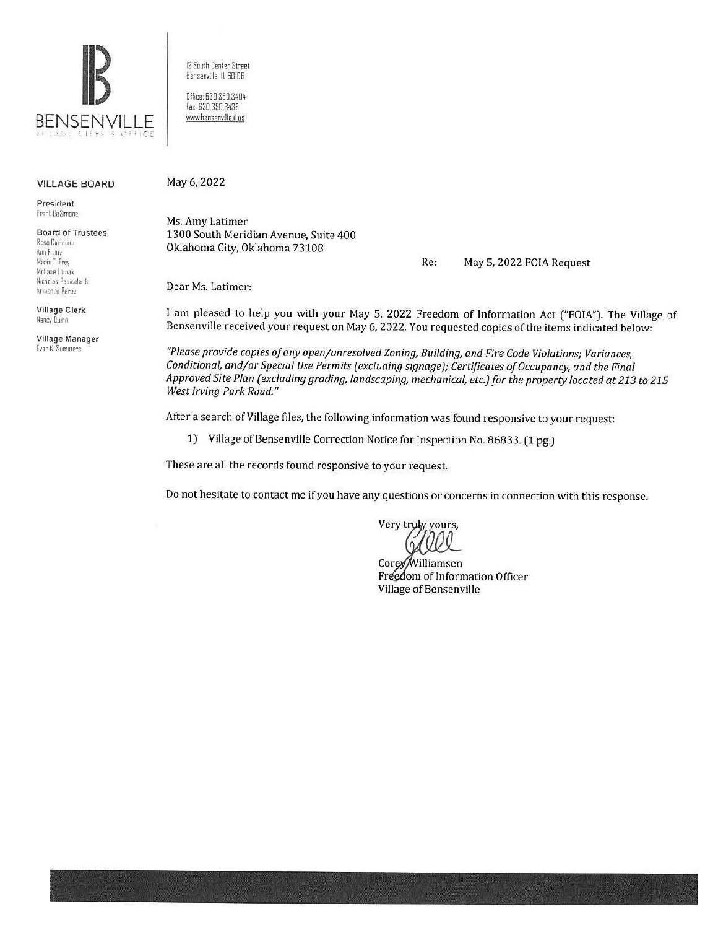

VILLAGE BOARD

President Frank DeSimone

Board of Trustees Rosa Carmona Ann Franz Mane I frey **Mc:lane I oma,;**  /1,cholas Paniccia Jr Armando Pere,

Village Clerk Nancy Quinn

Village Manager Evan K. Summers

12 South Center Street Bensemille. ll 60106

Office: 630.350.3404 fax 630 350.3438 www.benserwille.il.us

May 6, 2022

Ms. Amy Latimer 1300 South Meridian Avenue, Suite 400 Oklahoma City, Oklahoma 73108

Re: May 5, 2022 FOIA Request

Dear Ms. Latimer:

I am pleased to help you with your May 5, 2022 Freedom of Information Act ("FOIA"). The Village of Bensenville received your request on May 6, 2022. You requested copies of the items indicated below:

*"Please provide copies of any open/unresolved Zoning, Building, and Fire Code Violations; Variances, Conditional, and/or Special Use Permits (excluding signage); Certificates of Occupancy, and the Final Approved Site Plan (excluding grading, landscaping, mechanical, etc.) for the property located at 213 to 215 West Irving Park Road."* 

After a search of Village files, the following information was found responsive to your request:

1) Village of Bensenville Correction Notice for Inspection No. 86833. (1 pg.)

These are all the records found responsive to your request.

Do not hesitate to contact me if you have any questions or concerns in connection with this response.

Very truly yours,

Corey Williamsen Freedom of Information Officer Village of Bensenville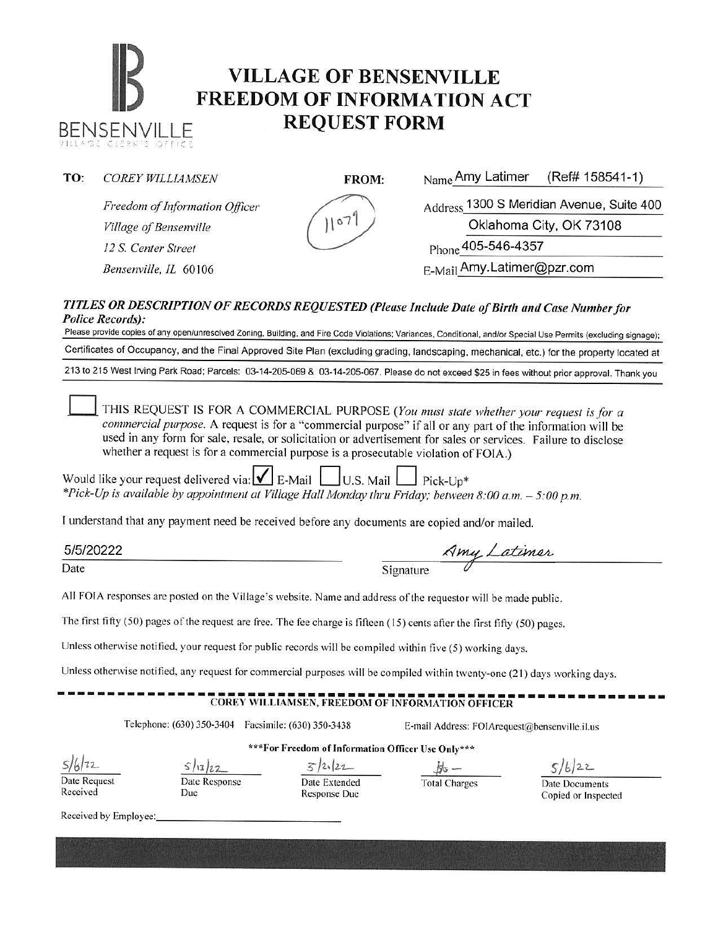# **IB VILLAGE OF BENSENVILLE**<br> **FREEDOM OF INFORMATION ACT** BENSENVILLE **REQUEST FORM**

*Freedom of Information Officer Village of Bensenville 12 S. Center Street* 

Bensenville, IL 60106

**TO:** *COREY WILLIAMSEN FROM:* Name Amy Latimer (Ref# 158541-1)

Address 1300 S Meridian Avenue, Suite 400 Oklahoma City, OK 73108 Phone **405-546-4357**  E-Mail Amy.Latimer@pzr.com

*TITLES OR DESCRIPTION OF RECORDS REQUESTED (Please Include Date of Birth and Case Number for Police Records):* 

Please provide copies of any open/unresolved Zoning, Building, and Fire Code Violations; Variances, Conditional, and/or Special Use Permits (excluding signage); Certificates of Occupancy, and the Final Approved Site Plan (excluding grading, landscaping, mechanical, etc.) for the property located at 213 to 215 West Irving Park Road; Parcels: 03-14-205-069 & 03-14-205-067. Please do not exceed \$25 in fees without prior approval. Thank you

THIS REQUEST IS FOR A COMMERCIAL PURPOSE (You must state whether your request is for a *commercial purpose*. A request is for a "commercial purpose" if all or any part of the information will be used in any form for sale, resale, or solicitation or advertisement for sales or services. Failure to disclose whether a request is for a commercial purpose is a prosecutable violation of FOIA.)

Would like your request delivered via:  $\mathbf{V}$  E-Mail U.S. Mail Pick-Up<sup>\*</sup> *\*Pick-Up is available by appointment at Village Hall Monday thru Friday; between 8:00 a.m.* - *5:00 p.m.* 

l understand that any payment need be received before any documents are copied and/or mailed.

5/5/20222

Date Signature Amy Latimer

All FOIA responses are posted on the Village's website. Name and address of the requestor will be made public.

The first fifty (50) pages of the request are free. The fee charge is fifteen ( 15) cents afier the first fifty (50) pages.

Unless otherwise notified, your request for public records will be compiled within five (5) working days.

Unless otherwise notified, any request for commercial purposes will be compiled within twenty-one (21) days working days.

### $-COREY$  WILLIAMSEN, FREEDOM OF INFORMATION OFFICER

Telephone: (630) 350-3404 Facsimile: (630) 350-3438 E-mail Address: F01Arequest@bensenville.il.us

**\*\*\*For Freedom of Information Officer Use Only\*\*\*** 

 $5/6/22$ Date Request

Received

Date Response

Due

Date Extended Response Due

 $\frac{5}{2}$ ,  $\frac{2}{2}$ ,  $\frac{4}{6}$  -<br>Date Extended Total Charges

 $5/6/22$ 

Date Documents Copied or Inspected

Received by Employee: